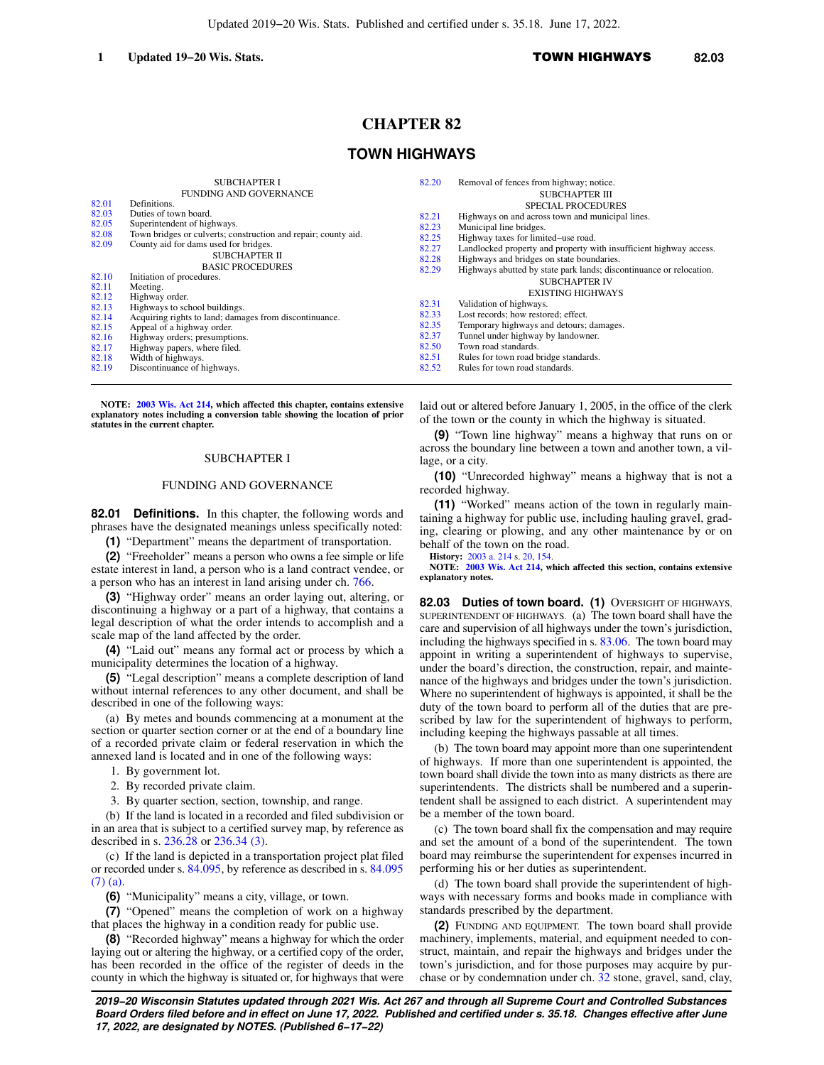#### **1 Updated 19−20 Wis. Stats.** TOWN HIGHWAYS **82.03**

# **CHAPTER 82**

# **TOWN HIGHWAYS**

|                                                                      | <b>SUBCHAPTER I</b><br><b>FUNDING AND GOVERNANCE</b>                                                                                                                                                                                                                                                    | 82.20                                                                | Removal of fences from highway; notice.<br><b>SUBCHAPTER III</b>                                                                                                                                                                                                                                                                                                                                                                                                |
|----------------------------------------------------------------------|---------------------------------------------------------------------------------------------------------------------------------------------------------------------------------------------------------------------------------------------------------------------------------------------------------|----------------------------------------------------------------------|-----------------------------------------------------------------------------------------------------------------------------------------------------------------------------------------------------------------------------------------------------------------------------------------------------------------------------------------------------------------------------------------------------------------------------------------------------------------|
| 82.01                                                                | Definitions.                                                                                                                                                                                                                                                                                            |                                                                      |                                                                                                                                                                                                                                                                                                                                                                                                                                                                 |
| 82.03<br>82.05<br>82.08<br>82.09<br>82.10<br>82.11<br>82.12<br>82.13 | Duties of town board.<br>Superintendent of highways.<br>Town bridges or culverts; construction and repair; county aid.<br>County aid for dams used for bridges.<br>SUBCHAPTER II<br><b>BASIC PROCEDURES</b><br>Initiation of procedures.<br>Meeting.<br>Highway order.<br>Highways to school buildings. | 82.21<br>82.23<br>82.25<br>82.27<br>82.28<br>82.29<br>82.31<br>82.33 | <b>SPECIAL PROCEDURES</b><br>Highways on and across town and municipal lines.<br>Municipal line bridges.<br>Highway taxes for limited-use road.<br>Landlocked property and property with insufficient highway access.<br>Highways and bridges on state boundaries.<br>Highways abutted by state park lands; discontinuance or relocation.<br><b>SUBCHAPTER IV</b><br><b>EXISTING HIGHWAYS</b><br>Validation of highways.<br>Lost records; how restored; effect. |
| 82.14<br>82.15                                                       | Acquiring rights to land; damages from discontinuance.<br>Appeal of a highway order.                                                                                                                                                                                                                    | 82.35                                                                | Temporary highways and detours; damages.                                                                                                                                                                                                                                                                                                                                                                                                                        |
| 82.16                                                                | Highway orders; presumptions.                                                                                                                                                                                                                                                                           | 82.37<br>82.50                                                       | Tunnel under highway by landowner.<br>Town road standards.                                                                                                                                                                                                                                                                                                                                                                                                      |
| 82.17<br>82.18                                                       | Highway papers, where filed.<br>Width of highways.                                                                                                                                                                                                                                                      | 82.51                                                                | Rules for town road bridge standards.                                                                                                                                                                                                                                                                                                                                                                                                                           |
| 82.19                                                                | Discontinuance of highways.                                                                                                                                                                                                                                                                             | 82.52                                                                | Rules for town road standards.                                                                                                                                                                                                                                                                                                                                                                                                                                  |

**NOTE: [2003 Wis. Act 214](https://docs.legis.wisconsin.gov/document/acts/2003/214), which affected this chapter, contains extensive explanatory notes including a conversion table showing the location of prior statutes in the current chapter.**

### SUBCHAPTER I

### FUNDING AND GOVERNANCE

**82.01 Definitions.** In this chapter, the following words and phrases have the designated meanings unless specifically noted:

**(1)** "Department" means the department of transportation.

**(2)** "Freeholder" means a person who owns a fee simple or life estate interest in land, a person who is a land contract vendee, or a person who has an interest in land arising under ch. [766.](https://docs.legis.wisconsin.gov/document/statutes/ch.%20766)

**(3)** "Highway order" means an order laying out, altering, or discontinuing a highway or a part of a highway, that contains a legal description of what the order intends to accomplish and a scale map of the land affected by the order.

**(4)** "Laid out" means any formal act or process by which a municipality determines the location of a highway.

**(5)** "Legal description" means a complete description of land without internal references to any other document, and shall be described in one of the following ways:

(a) By metes and bounds commencing at a monument at the section or quarter section corner or at the end of a boundary line of a recorded private claim or federal reservation in which the annexed land is located and in one of the following ways:

1. By government lot.

2. By recorded private claim.

3. By quarter section, section, township, and range.

(b) If the land is located in a recorded and filed subdivision or in an area that is subject to a certified survey map, by reference as described in s. [236.28](https://docs.legis.wisconsin.gov/document/statutes/236.28) or [236.34 \(3\).](https://docs.legis.wisconsin.gov/document/statutes/236.34(3))

(c) If the land is depicted in a transportation project plat filed or recorded under s. [84.095](https://docs.legis.wisconsin.gov/document/statutes/84.095), by reference as described in s. [84.095](https://docs.legis.wisconsin.gov/document/statutes/84.095(7)(a)) [\(7\) \(a\).](https://docs.legis.wisconsin.gov/document/statutes/84.095(7)(a))

**(6)** "Municipality" means a city, village, or town.

**(7)** "Opened" means the completion of work on a highway that places the highway in a condition ready for public use.

**(8)** "Recorded highway" means a highway for which the order laying out or altering the highway, or a certified copy of the order, has been recorded in the office of the register of deeds in the county in which the highway is situated or, for highways that were laid out or altered before January 1, 2005, in the office of the clerk of the town or the county in which the highway is situated.

**(9)** "Town line highway" means a highway that runs on or across the boundary line between a town and another town, a village, or a city.

**(10)** "Unrecorded highway" means a highway that is not a recorded highway.

**(11)** "Worked" means action of the town in regularly maintaining a highway for public use, including hauling gravel, grading, clearing or plowing, and any other maintenance by or on behalf of the town on the road.

**History:** [2003 a. 214](https://docs.legis.wisconsin.gov/document/acts/2003/214) s. [20,](https://docs.legis.wisconsin.gov/document/acts/2003/214,%20s.%2020) [154.](https://docs.legis.wisconsin.gov/document/acts/2003/214,%20s.%20154)

**NOTE: [2003 Wis. Act 214,](https://docs.legis.wisconsin.gov/document/acts/2003/214) which affected this section, contains extensive explanatory notes.**

82.03 Duties of town board. (1) OVERSIGHT OF HIGHWAYS, SUPERINTENDENT OF HIGHWAYS. (a) The town board shall have the care and supervision of all highways under the town's jurisdiction, including the highways specified in s. [83.06](https://docs.legis.wisconsin.gov/document/statutes/83.06). The town board may appoint in writing a superintendent of highways to supervise, under the board's direction, the construction, repair, and maintenance of the highways and bridges under the town's jurisdiction. Where no superintendent of highways is appointed, it shall be the duty of the town board to perform all of the duties that are prescribed by law for the superintendent of highways to perform, including keeping the highways passable at all times.

(b) The town board may appoint more than one superintendent of highways. If more than one superintendent is appointed, the town board shall divide the town into as many districts as there are superintendents. The districts shall be numbered and a superintendent shall be assigned to each district. A superintendent may be a member of the town board.

(c) The town board shall fix the compensation and may require and set the amount of a bond of the superintendent. The town board may reimburse the superintendent for expenses incurred in performing his or her duties as superintendent.

(d) The town board shall provide the superintendent of highways with necessary forms and books made in compliance with standards prescribed by the department.

**(2)** FUNDING AND EQUIPMENT. The town board shall provide machinery, implements, material, and equipment needed to construct, maintain, and repair the highways and bridges under the town's jurisdiction, and for those purposes may acquire by purchase or by condemnation under ch. [32](https://docs.legis.wisconsin.gov/document/statutes/ch.%2032) stone, gravel, sand, clay,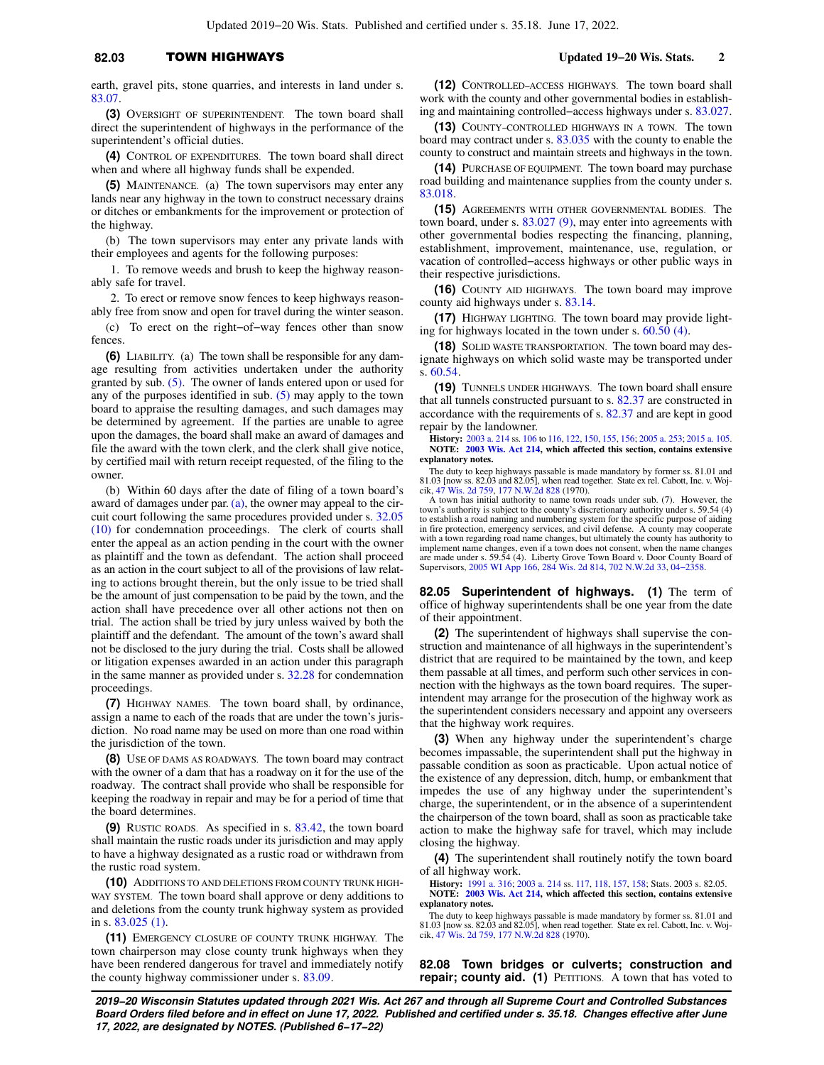### **82.03** TOWN HIGHWAYS **Updated 19−20 Wis. Stats. 2**

earth, gravel pits, stone quarries, and interests in land under s. [83.07](https://docs.legis.wisconsin.gov/document/statutes/83.07).

**(3)** OVERSIGHT OF SUPERINTENDENT. The town board shall direct the superintendent of highways in the performance of the superintendent's official duties.

**(4)** CONTROL OF EXPENDITURES. The town board shall direct when and where all highway funds shall be expended.

**(5)** MAINTENANCE. (a) The town supervisors may enter any lands near any highway in the town to construct necessary drains or ditches or embankments for the improvement or protection of the highway.

(b) The town supervisors may enter any private lands with their employees and agents for the following purposes:

1. To remove weeds and brush to keep the highway reasonably safe for travel.

2. To erect or remove snow fences to keep highways reason-

ably free from snow and open for travel during the winter season. (c) To erect on the right−of−way fences other than snow fences.

**(6)** LIABILITY. (a) The town shall be responsible for any damage resulting from activities undertaken under the authority granted by sub. [\(5\)](https://docs.legis.wisconsin.gov/document/statutes/82.03(5)). The owner of lands entered upon or used for any of the purposes identified in sub.  $(5)$  may apply to the town board to appraise the resulting damages, and such damages may be determined by agreement. If the parties are unable to agree upon the damages, the board shall make an award of damages and file the award with the town clerk, and the clerk shall give notice, by certified mail with return receipt requested, of the filing to the owner.

(b) Within 60 days after the date of filing of a town board's award of damages under par.  $(a)$ , the owner may appeal to the circuit court following the same procedures provided under s. [32.05](https://docs.legis.wisconsin.gov/document/statutes/32.05(10)) [\(10\)](https://docs.legis.wisconsin.gov/document/statutes/32.05(10)) for condemnation proceedings. The clerk of courts shall enter the appeal as an action pending in the court with the owner as plaintiff and the town as defendant. The action shall proceed as an action in the court subject to all of the provisions of law relating to actions brought therein, but the only issue to be tried shall be the amount of just compensation to be paid by the town, and the action shall have precedence over all other actions not then on trial. The action shall be tried by jury unless waived by both the plaintiff and the defendant. The amount of the town's award shall not be disclosed to the jury during the trial. Costs shall be allowed or litigation expenses awarded in an action under this paragraph in the same manner as provided under s. [32.28](https://docs.legis.wisconsin.gov/document/statutes/32.28) for condemnation proceedings.

**(7)** HIGHWAY NAMES. The town board shall, by ordinance, assign a name to each of the roads that are under the town's jurisdiction. No road name may be used on more than one road within the jurisdiction of the town.

**(8)** USE OF DAMS AS ROADWAYS. The town board may contract with the owner of a dam that has a roadway on it for the use of the roadway. The contract shall provide who shall be responsible for keeping the roadway in repair and may be for a period of time that the board determines.

**(9)** RUSTIC ROADS. As specified in s. [83.42,](https://docs.legis.wisconsin.gov/document/statutes/83.42) the town board shall maintain the rustic roads under its jurisdiction and may apply to have a highway designated as a rustic road or withdrawn from the rustic road system.

**(10)** ADDITIONS TO AND DELETIONS FROM COUNTY TRUNK HIGH-WAY SYSTEM. The town board shall approve or deny additions to and deletions from the county trunk highway system as provided in s. [83.025 \(1\).](https://docs.legis.wisconsin.gov/document/statutes/83.025(1))

**(11)** EMERGENCY CLOSURE OF COUNTY TRUNK HIGHWAY. The town chairperson may close county trunk highways when they have been rendered dangerous for travel and immediately notify the county highway commissioner under s. [83.09.](https://docs.legis.wisconsin.gov/document/statutes/83.09)

**(12)** CONTROLLED−ACCESS HIGHWAYS. The town board shall work with the county and other governmental bodies in establishing and maintaining controlled−access highways under s. [83.027.](https://docs.legis.wisconsin.gov/document/statutes/83.027)

**(13)** COUNTY−CONTROLLED HIGHWAYS IN A TOWN. The town board may contract under s. [83.035](https://docs.legis.wisconsin.gov/document/statutes/83.035) with the county to enable the county to construct and maintain streets and highways in the town.

**(14)** PURCHASE OF EQUIPMENT. The town board may purchase road building and maintenance supplies from the county under s. [83.018.](https://docs.legis.wisconsin.gov/document/statutes/83.018)

**(15)** AGREEMENTS WITH OTHER GOVERNMENTAL BODIES. The town board, under s. [83.027 \(9\),](https://docs.legis.wisconsin.gov/document/statutes/83.027(9)) may enter into agreements with other governmental bodies respecting the financing, planning, establishment, improvement, maintenance, use, regulation, or vacation of controlled−access highways or other public ways in their respective jurisdictions.

**(16)** COUNTY AID HIGHWAYS. The town board may improve county aid highways under s. [83.14.](https://docs.legis.wisconsin.gov/document/statutes/83.14)

**(17)** HIGHWAY LIGHTING. The town board may provide lighting for highways located in the town under s. [60.50 \(4\)](https://docs.legis.wisconsin.gov/document/statutes/60.50(4)).

**(18)** SOLID WASTE TRANSPORTATION. The town board may designate highways on which solid waste may be transported under s. [60.54](https://docs.legis.wisconsin.gov/document/statutes/60.54).

**(19)** TUNNELS UNDER HIGHWAYS. The town board shall ensure that all tunnels constructed pursuant to s. [82.37](https://docs.legis.wisconsin.gov/document/statutes/82.37) are constructed in accordance with the requirements of s. [82.37](https://docs.legis.wisconsin.gov/document/statutes/82.37) and are kept in good repair by the landowner.

**History:** [2003 a. 214](https://docs.legis.wisconsin.gov/document/acts/2003/214) ss. [106](https://docs.legis.wisconsin.gov/document/acts/2003/214,%20s.%20106) to [116](https://docs.legis.wisconsin.gov/document/acts/2003/214,%20s.%20116), [122](https://docs.legis.wisconsin.gov/document/acts/2003/214,%20s.%20122), [150,](https://docs.legis.wisconsin.gov/document/acts/2003/214,%20s.%20150) [155](https://docs.legis.wisconsin.gov/document/acts/2003/214,%20s.%20155), [156;](https://docs.legis.wisconsin.gov/document/acts/2003/214,%20s.%20156) [2005 a. 253](https://docs.legis.wisconsin.gov/document/acts/2005/253); [2015 a. 105](https://docs.legis.wisconsin.gov/document/acts/2015/105). **NOTE: [2003 Wis. Act 214,](https://docs.legis.wisconsin.gov/document/acts/2003/214) which affected this section, contains extensive explanatory notes.**

The duty to keep highways passable is made mandatory by former ss. 81.01 and 81.03 [now ss. 82.03 and 82.05], when read together. State ex rel. Cabott, Inc. v. Woj-cik, [47 Wis. 2d 759,](https://docs.legis.wisconsin.gov/document/courts/47%20Wis.%202d%20759) [177 N.W.2d 828](https://docs.legis.wisconsin.gov/document/courts/177%20N.W.2d%20828) (1970).

A town has initial authority to name town roads under sub. (7). However, the town's authority is subject to the county's discretionary authority under s. 59.54 (4) to establish a road naming and numbering system for the specific purpose of aiding in fire protection, emergency services, and civil defense. A county may cooperate with a town regarding road name changes, but ultimately the county has authority to implement name changes, even if a town does not consent, when the name changes<br>are made under s. 59.54 (4). Liberty Grove Town Board v. Door County Board of<br>Supervisors, [2005 WI App 166](https://docs.legis.wisconsin.gov/document/courts/2005%20WI%20App%20166), [284 Wis. 2d 814](https://docs.legis.wisconsin.gov/document/courts/284%20Wis.%202d%20814), [702 N.W.2d 33](https://docs.legis.wisconsin.gov/document/courts/702%20N.W.2d%2033), 04–

**82.05 Superintendent of highways. (1)** The term of office of highway superintendents shall be one year from the date of their appointment.

**(2)** The superintendent of highways shall supervise the construction and maintenance of all highways in the superintendent's district that are required to be maintained by the town, and keep them passable at all times, and perform such other services in connection with the highways as the town board requires. The superintendent may arrange for the prosecution of the highway work as the superintendent considers necessary and appoint any overseers that the highway work requires.

**(3)** When any highway under the superintendent's charge becomes impassable, the superintendent shall put the highway in passable condition as soon as practicable. Upon actual notice of the existence of any depression, ditch, hump, or embankment that impedes the use of any highway under the superintendent's charge, the superintendent, or in the absence of a superintendent the chairperson of the town board, shall as soon as practicable take action to make the highway safe for travel, which may include closing the highway.

**(4)** The superintendent shall routinely notify the town board of all highway work.

**History:** [1991 a. 316;](https://docs.legis.wisconsin.gov/document/acts/1991/316) [2003 a. 214](https://docs.legis.wisconsin.gov/document/acts/2003/214) ss. [117](https://docs.legis.wisconsin.gov/document/acts/2003/214,%20s.%20117), [118](https://docs.legis.wisconsin.gov/document/acts/2003/214,%20s.%20118), [157](https://docs.legis.wisconsin.gov/document/acts/2003/214,%20s.%20157), [158](https://docs.legis.wisconsin.gov/document/acts/2003/214,%20s.%20158); Stats. 2003 s. 82.05.

**NOTE: [2003 Wis. Act 214,](https://docs.legis.wisconsin.gov/document/acts/2003/214) which affected this section, contains extensive explanatory notes.**

The duty to keep highways passable is made mandatory by former ss. 81.01 and 81.03 [now ss. 82.03 and 82.05], when read together. State ex rel. Cabott, Inc. v. Woj-cik, [47 Wis. 2d 759,](https://docs.legis.wisconsin.gov/document/courts/47%20Wis.%202d%20759) [177 N.W.2d 828](https://docs.legis.wisconsin.gov/document/courts/177%20N.W.2d%20828) (1970).

**82.08 Town bridges or culverts; construction and repair; county aid. (1)** PETITIONS. A town that has voted to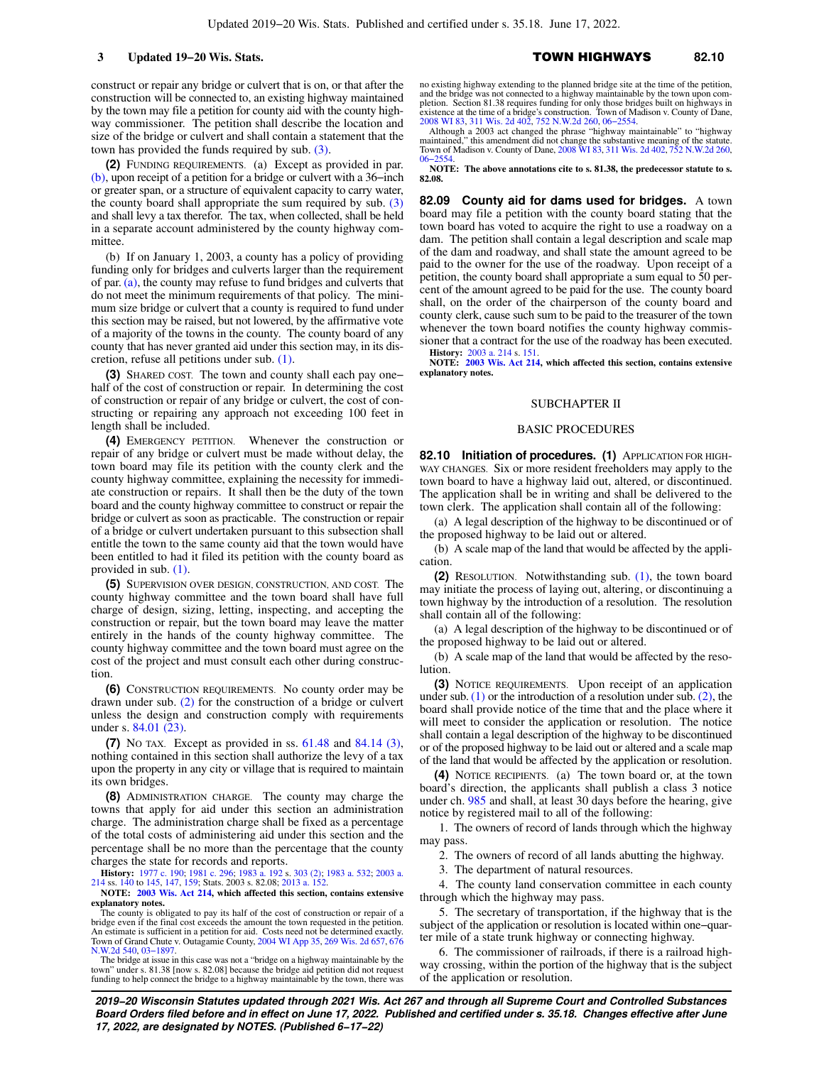construct or repair any bridge or culvert that is on, or that after the construction will be connected to, an existing highway maintained by the town may file a petition for county aid with the county highway commissioner. The petition shall describe the location and size of the bridge or culvert and shall contain a statement that the town has provided the funds required by sub. [\(3\)](https://docs.legis.wisconsin.gov/document/statutes/82.08(3)).

**(2)** FUNDING REQUIREMENTS. (a) Except as provided in par. [\(b\)](https://docs.legis.wisconsin.gov/document/statutes/82.08(2)(b)), upon receipt of a petition for a bridge or culvert with a 36−inch or greater span, or a structure of equivalent capacity to carry water, the county board shall appropriate the sum required by sub.  $(3)$ and shall levy a tax therefor. The tax, when collected, shall be held in a separate account administered by the county highway committee.

(b) If on January 1, 2003, a county has a policy of providing funding only for bridges and culverts larger than the requirement of par. [\(a\)](https://docs.legis.wisconsin.gov/document/statutes/82.08(2)(a)), the county may refuse to fund bridges and culverts that do not meet the minimum requirements of that policy. The minimum size bridge or culvert that a county is required to fund under this section may be raised, but not lowered, by the affirmative vote of a majority of the towns in the county. The county board of any county that has never granted aid under this section may, in its discretion, refuse all petitions under sub. [\(1\)](https://docs.legis.wisconsin.gov/document/statutes/82.08(1)).

**(3)** SHARED COST. The town and county shall each pay one− half of the cost of construction or repair. In determining the cost of construction or repair of any bridge or culvert, the cost of constructing or repairing any approach not exceeding 100 feet in length shall be included.

**(4)** EMERGENCY PETITION. Whenever the construction or repair of any bridge or culvert must be made without delay, the town board may file its petition with the county clerk and the county highway committee, explaining the necessity for immediate construction or repairs. It shall then be the duty of the town board and the county highway committee to construct or repair the bridge or culvert as soon as practicable. The construction or repair of a bridge or culvert undertaken pursuant to this subsection shall entitle the town to the same county aid that the town would have been entitled to had it filed its petition with the county board as provided in sub. [\(1\)](https://docs.legis.wisconsin.gov/document/statutes/82.08(1)).

**(5)** SUPERVISION OVER DESIGN, CONSTRUCTION, AND COST. The county highway committee and the town board shall have full charge of design, sizing, letting, inspecting, and accepting the construction or repair, but the town board may leave the matter entirely in the hands of the county highway committee. The county highway committee and the town board must agree on the cost of the project and must consult each other during construction.

**(6)** CONSTRUCTION REQUIREMENTS. No county order may be drawn under sub. [\(2\)](https://docs.legis.wisconsin.gov/document/statutes/82.08(2)) for the construction of a bridge or culvert unless the design and construction comply with requirements under s. [84.01 \(23\)](https://docs.legis.wisconsin.gov/document/statutes/84.01(23)).

**(7)** NO TAX. Except as provided in ss. [61.48](https://docs.legis.wisconsin.gov/document/statutes/61.48) and [84.14 \(3\),](https://docs.legis.wisconsin.gov/document/statutes/84.14(3)) nothing contained in this section shall authorize the levy of a tax upon the property in any city or village that is required to maintain its own bridges.

**(8)** ADMINISTRATION CHARGE. The county may charge the towns that apply for aid under this section an administration charge. The administration charge shall be fixed as a percentage of the total costs of administering aid under this section and the percentage shall be no more than the percentage that the county charges the state for records and reports.

**History:** [1977 c. 190;](https://docs.legis.wisconsin.gov/document/acts/1977/190) [1981 c. 296](https://docs.legis.wisconsin.gov/document/acts/1981/296); [1983 a. 192](https://docs.legis.wisconsin.gov/document/acts/1983/192) s. [303 \(2\);](https://docs.legis.wisconsin.gov/document/acts/1983/192,%20s.%20303) [1983 a. 532;](https://docs.legis.wisconsin.gov/document/acts/1983/532) [2003 a.](https://docs.legis.wisconsin.gov/document/acts/2003/214) [214](https://docs.legis.wisconsin.gov/document/acts/2003/214) ss. [140](https://docs.legis.wisconsin.gov/document/acts/2003/214,%20s.%20140) to [145](https://docs.legis.wisconsin.gov/document/acts/2003/214,%20s.%20145), [147](https://docs.legis.wisconsin.gov/document/acts/2003/214,%20s.%20147), [159](https://docs.legis.wisconsin.gov/document/acts/2003/214,%20s.%20159); Stats. 2003 s. 82.08; [2013 a. 152](https://docs.legis.wisconsin.gov/document/acts/2013/152).

**NOTE: [2003 Wis. Act 214](https://docs.legis.wisconsin.gov/document/acts/2003/214), which affected this section, contains extensive explanatory notes.**

The county is obligated to pay its half of the cost of construction or repair of a bridge even if the final cost exceeds the amount the town requested in the petition. An estimate is sufficient in a petition for aid. Costs need not be determined exactly. Town of Grand Chute v. Outagamie County, [2004 WI App 35,](https://docs.legis.wisconsin.gov/document/courts/2004%20WI%20App%2035) [269 Wis. 2d 657](https://docs.legis.wisconsin.gov/document/courts/269%20Wis.%202d%20657), [676](https://docs.legis.wisconsin.gov/document/courts/676%20N.W.2d%20540) [N.W.2d 540,](https://docs.legis.wisconsin.gov/document/courts/676%20N.W.2d%20540) [03−1897.](https://docs.legis.wisconsin.gov/document/wicourtofappeals/03-1897)

The bridge at issue in this case was not a "bridge on a highway maintainable by the town" under s. 81.38 [now s. 82.08] because the bridge aid petition did not request<br>funding to help connect the bridge to a highway mainta

no existing highway extending to the planned bridge site at the time of the petition, and the bridge was not connected to a highway maintainable by the town upon com-pletion. Section 81.38 requires funding for only those bridges built on highways in existence at the time of a bridge's construction. Town of Madison v. County of Dane, [2008 WI 83](https://docs.legis.wisconsin.gov/document/courts/2008%20WI%2083), [311 Wis. 2d 402,](https://docs.legis.wisconsin.gov/document/courts/311%20Wis.%202d%20402) [752 N.W.2d 260](https://docs.legis.wisconsin.gov/document/courts/752%20N.W.2d%20260), [06−2554.](https://docs.legis.wisconsin.gov/document/wisupremecourt/06-2554)

Although a 2003 act changed the phrase "highway maintainable" to "highway" maintained," this amendment did not change the substantive meaning of the statute. Town of Madison v. County of Dane, [2008 WI 83](https://docs.legis.wisconsin.gov/document/courts/2008%20WI%2083), [311 Wis. 2d 402](https://docs.legis.wisconsin.gov/document/courts/311%20Wis.%202d%20402), [752 N.W.2d 260](https://docs.legis.wisconsin.gov/document/courts/752%20N.W.2d%20260), [06−2554.](https://docs.legis.wisconsin.gov/document/wisupremecourt/06-2554) **NOTE: The above annotations cite to s. 81.38, the predecessor statute to s.**

**82.08.**

**82.09 County aid for dams used for bridges.** A town board may file a petition with the county board stating that the town board has voted to acquire the right to use a roadway on a dam. The petition shall contain a legal description and scale map of the dam and roadway, and shall state the amount agreed to be paid to the owner for the use of the roadway. Upon receipt of a petition, the county board shall appropriate a sum equal to 50 percent of the amount agreed to be paid for the use. The county board shall, on the order of the chairperson of the county board and county clerk, cause such sum to be paid to the treasurer of the town whenever the town board notifies the county highway commissioner that a contract for the use of the roadway has been executed.

**History:** [2003 a. 214](https://docs.legis.wisconsin.gov/document/acts/2003/214) s. [151](https://docs.legis.wisconsin.gov/document/acts/2003/214,%20s.%20151). **NOTE: [2003 Wis. Act 214,](https://docs.legis.wisconsin.gov/document/acts/2003/214) which affected this section, contains extensive explanatory notes.**

#### SUBCHAPTER II

#### BASIC PROCEDURES

**82.10 Initiation of procedures. (1)** APPLICATION FOR HIGH-WAY CHANGES. Six or more resident freeholders may apply to the town board to have a highway laid out, altered, or discontinued. The application shall be in writing and shall be delivered to the town clerk. The application shall contain all of the following:

(a) A legal description of the highway to be discontinued or of the proposed highway to be laid out or altered.

(b) A scale map of the land that would be affected by the application.

**(2)** RESOLUTION. Notwithstanding sub. [\(1\),](https://docs.legis.wisconsin.gov/document/statutes/82.10(1)) the town board may initiate the process of laying out, altering, or discontinuing a town highway by the introduction of a resolution. The resolution shall contain all of the following:

(a) A legal description of the highway to be discontinued or of the proposed highway to be laid out or altered.

(b) A scale map of the land that would be affected by the resolution.

**(3)** NOTICE REQUIREMENTS. Upon receipt of an application under sub.  $(1)$  or the introduction of a resolution under sub.  $(2)$ , the board shall provide notice of the time that and the place where it will meet to consider the application or resolution. The notice shall contain a legal description of the highway to be discontinued or of the proposed highway to be laid out or altered and a scale map of the land that would be affected by the application or resolution.

**(4)** NOTICE RECIPIENTS. (a) The town board or, at the town board's direction, the applicants shall publish a class 3 notice under ch. [985](https://docs.legis.wisconsin.gov/document/statutes/ch.%20985) and shall, at least 30 days before the hearing, give notice by registered mail to all of the following:

1. The owners of record of lands through which the highway may pass.

2. The owners of record of all lands abutting the highway.

3. The department of natural resources.

4. The county land conservation committee in each county through which the highway may pass.

5. The secretary of transportation, if the highway that is the subject of the application or resolution is located within one−quarter mile of a state trunk highway or connecting highway.

6. The commissioner of railroads, if there is a railroad highway crossing, within the portion of the highway that is the subject of the application or resolution.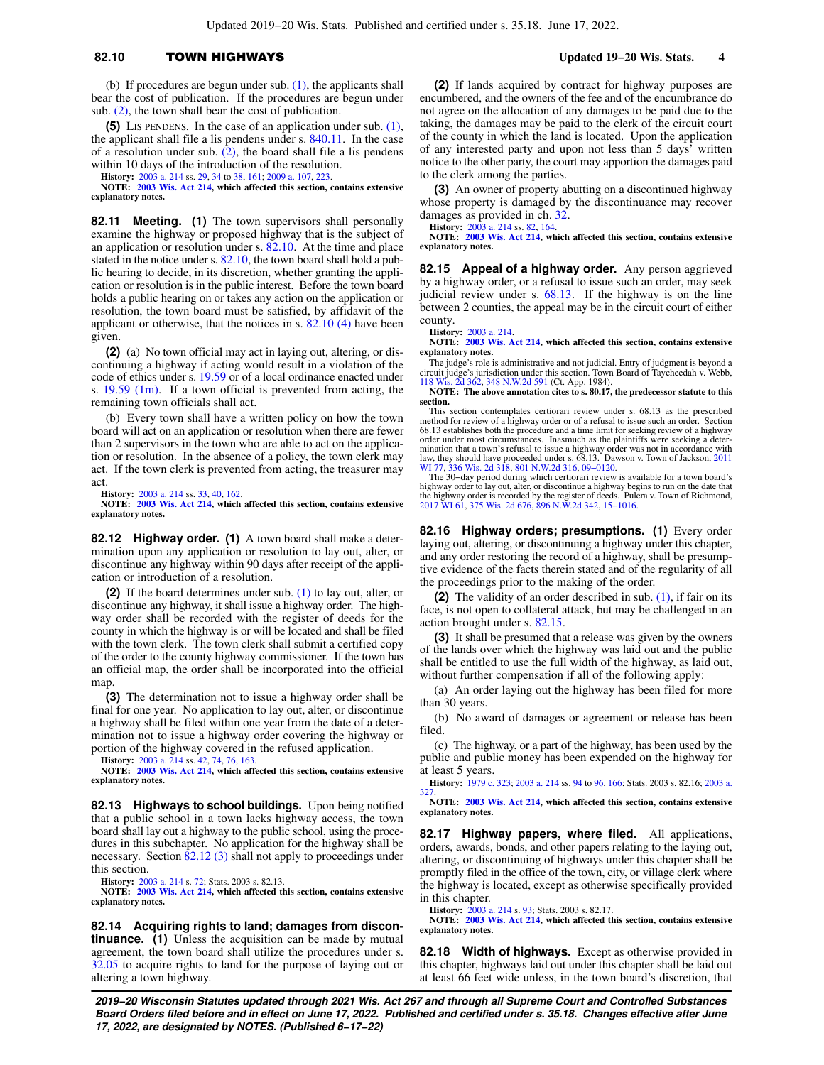## **82.10** TOWN HIGHWAYS **Updated 19−20 Wis. Stats. 4**

(b) If procedures are begun under sub. [\(1\),](https://docs.legis.wisconsin.gov/document/statutes/82.10(1)) the applicants shall bear the cost of publication. If the procedures are begun under sub. [\(2\)](https://docs.legis.wisconsin.gov/document/statutes/82.10(2)), the town shall bear the cost of publication.

**(5)** LIS PENDENS. In the case of an application under sub. [\(1\),](https://docs.legis.wisconsin.gov/document/statutes/82.10(1)) the applicant shall file a lis pendens under s. [840.11.](https://docs.legis.wisconsin.gov/document/statutes/840.11) In the case of a resolution under sub. [\(2\)](https://docs.legis.wisconsin.gov/document/statutes/82.10(2)), the board shall file a lis pendens within 10 days of the introduction of the resolution.

**History:** [2003 a. 214](https://docs.legis.wisconsin.gov/document/acts/2003/214) ss. [29](https://docs.legis.wisconsin.gov/document/acts/2003/214,%20s.%2029), [34](https://docs.legis.wisconsin.gov/document/acts/2003/214,%20s.%2034) to [38,](https://docs.legis.wisconsin.gov/document/acts/2003/214,%20s.%2038) [161;](https://docs.legis.wisconsin.gov/document/acts/2003/214,%20s.%20161) [2009 a. 107](https://docs.legis.wisconsin.gov/document/acts/2009/107), [223](https://docs.legis.wisconsin.gov/document/acts/2009/223).

**NOTE: [2003 Wis. Act 214](https://docs.legis.wisconsin.gov/document/acts/2003/214), which affected this section, contains extensive explanatory notes.**

**82.11 Meeting. (1)** The town supervisors shall personally examine the highway or proposed highway that is the subject of an application or resolution under s. [82.10](https://docs.legis.wisconsin.gov/document/statutes/82.10). At the time and place stated in the notice under s. [82.10](https://docs.legis.wisconsin.gov/document/statutes/82.10), the town board shall hold a public hearing to decide, in its discretion, whether granting the application or resolution is in the public interest. Before the town board holds a public hearing on or takes any action on the application or resolution, the town board must be satisfied, by affidavit of the applicant or otherwise, that the notices in s. [82.10 \(4\)](https://docs.legis.wisconsin.gov/document/statutes/82.10(4)) have been given.

**(2)** (a) No town official may act in laying out, altering, or discontinuing a highway if acting would result in a violation of the code of ethics under s. [19.59](https://docs.legis.wisconsin.gov/document/statutes/19.59) or of a local ordinance enacted under s. [19.59 \(1m\).](https://docs.legis.wisconsin.gov/document/statutes/19.59(1m)) If a town official is prevented from acting, the remaining town officials shall act.

(b) Every town shall have a written policy on how the town board will act on an application or resolution when there are fewer than 2 supervisors in the town who are able to act on the application or resolution. In the absence of a policy, the town clerk may act. If the town clerk is prevented from acting, the treasurer may act.

**History:** [2003 a. 214](https://docs.legis.wisconsin.gov/document/acts/2003/214) ss. [33](https://docs.legis.wisconsin.gov/document/acts/2003/214,%20s.%2033), [40,](https://docs.legis.wisconsin.gov/document/acts/2003/214,%20s.%2040) [162.](https://docs.legis.wisconsin.gov/document/acts/2003/214,%20s.%20162)

**NOTE: [2003 Wis. Act 214](https://docs.legis.wisconsin.gov/document/acts/2003/214), which affected this section, contains extensive explanatory notes.**

**82.12 Highway order. (1)** A town board shall make a determination upon any application or resolution to lay out, alter, or discontinue any highway within 90 days after receipt of the application or introduction of a resolution.

**(2)** If the board determines under sub. [\(1\)](https://docs.legis.wisconsin.gov/document/statutes/82.12(1)) to lay out, alter, or discontinue any highway, it shall issue a highway order. The highway order shall be recorded with the register of deeds for the county in which the highway is or will be located and shall be filed with the town clerk. The town clerk shall submit a certified copy of the order to the county highway commissioner. If the town has an official map, the order shall be incorporated into the official map.

**(3)** The determination not to issue a highway order shall be final for one year. No application to lay out, alter, or discontinue a highway shall be filed within one year from the date of a determination not to issue a highway order covering the highway or portion of the highway covered in the refused application.

**History:** [2003 a. 214](https://docs.legis.wisconsin.gov/document/acts/2003/214) ss. [42](https://docs.legis.wisconsin.gov/document/acts/2003/214,%20s.%2042), [74,](https://docs.legis.wisconsin.gov/document/acts/2003/214,%20s.%2074) [76](https://docs.legis.wisconsin.gov/document/acts/2003/214,%20s.%2076), [163](https://docs.legis.wisconsin.gov/document/acts/2003/214,%20s.%20163).

**NOTE: [2003 Wis. Act 214](https://docs.legis.wisconsin.gov/document/acts/2003/214), which affected this section, contains extensive explanatory notes.**

**82.13 Highways to school buildings.** Upon being notified that a public school in a town lacks highway access, the town board shall lay out a highway to the public school, using the procedures in this subchapter. No application for the highway shall be necessary. Section [82.12 \(3\)](https://docs.legis.wisconsin.gov/document/statutes/82.12(3)) shall not apply to proceedings under this section.

**History:** [2003 a. 214](https://docs.legis.wisconsin.gov/document/acts/2003/214) s. [72](https://docs.legis.wisconsin.gov/document/acts/2003/214,%20s.%2072); Stats. 2003 s. 82.13.

**NOTE: [2003 Wis. Act 214](https://docs.legis.wisconsin.gov/document/acts/2003/214), which affected this section, contains extensive explanatory notes.**

**82.14 Acquiring rights to land; damages from discontinuance.** (1) Unless the acquisition can be made by mutual agreement, the town board shall utilize the procedures under s. [32.05](https://docs.legis.wisconsin.gov/document/statutes/32.05) to acquire rights to land for the purpose of laying out or altering a town highway.

**(2)** If lands acquired by contract for highway purposes are encumbered, and the owners of the fee and of the encumbrance do not agree on the allocation of any damages to be paid due to the taking, the damages may be paid to the clerk of the circuit court of the county in which the land is located. Upon the application of any interested party and upon not less than 5 days' written notice to the other party, the court may apportion the damages paid to the clerk among the parties.

**(3)** An owner of property abutting on a discontinued highway whose property is damaged by the discontinuance may recover damages as provided in ch. [32.](https://docs.legis.wisconsin.gov/document/statutes/ch.%2032)

**History:** [2003 a. 214](https://docs.legis.wisconsin.gov/document/acts/2003/214) ss. [82](https://docs.legis.wisconsin.gov/document/acts/2003/214,%20s.%2082), [164](https://docs.legis.wisconsin.gov/document/acts/2003/214,%20s.%20164).

**NOTE: [2003 Wis. Act 214,](https://docs.legis.wisconsin.gov/document/acts/2003/214) which affected this section, contains extensive explanatory notes.**

**82.15 Appeal of a highway order.** Any person aggrieved by a highway order, or a refusal to issue such an order, may seek judicial review under s. [68.13](https://docs.legis.wisconsin.gov/document/statutes/68.13). If the highway is on the line between 2 counties, the appeal may be in the circuit court of either county.

**History:** [2003 a. 214.](https://docs.legis.wisconsin.gov/document/acts/2003/214)

**NOTE: [2003 Wis. Act 214,](https://docs.legis.wisconsin.gov/document/acts/2003/214) which affected this section, contains extensive explanatory notes.**

The judge's role is administrative and not judicial. Entry of judgment is beyond a circuit judge's jurisdiction under this section. Town Board of Taycheedah v. Webb, [118 Wis. 2d 362,](https://docs.legis.wisconsin.gov/document/courts/118%20Wis.%202d%20362) [348 N.W.2d 591](https://docs.legis.wisconsin.gov/document/courts/348%20N.W.2d%20591) (Ct. App. 1984).

**NOTE: The above annotation cites to s. 80.17, the predecessor statute to this section.**

This section contemplates certiorari review under s. 68.13 as the prescribed method for review of a highway order or of a refusal to issue such an order. Section<br>68.13 establishes both the procedure and a time limit for seeking review of a highway<br>order under most circumstances. Inasmuch as the pl mination that a town's refusal to issue a highway order was not in accordance with<br>law, they should have proceeded under s. 68.13. Dawson v. Town of Jackson, [2011](https://docs.legis.wisconsin.gov/document/courts/2011%20WI%2077)<br>[WI 77,](https://docs.legis.wisconsin.gov/document/courts/2011%20WI%2077) [336 Wis. 2d 318](https://docs.legis.wisconsin.gov/document/courts/336%20Wis.%202d%20318), [801 N.W.2d 316,](https://docs.legis.wisconsin.gov/document/courts/801%20N.W.2d%20316) [09−0120](https://docs.legis.wisconsin.gov/document/wisupremecourt/09-0120).

The 30-day period during which certiorari review is available for a town board's<br>highway order to lay out, alter, or discontinue a highway begins to run on the date that<br>the highway order is recorded by the register of dee

**82.16 Highway orders; presumptions. (1)** Every order laying out, altering, or discontinuing a highway under this chapter, and any order restoring the record of a highway, shall be presumptive evidence of the facts therein stated and of the regularity of all the proceedings prior to the making of the order.

**(2)** The validity of an order described in sub. [\(1\)](https://docs.legis.wisconsin.gov/document/statutes/82.16(1)), if fair on its face, is not open to collateral attack, but may be challenged in an action brought under s. [82.15](https://docs.legis.wisconsin.gov/document/statutes/82.15).

**(3)** It shall be presumed that a release was given by the owners of the lands over which the highway was laid out and the public shall be entitled to use the full width of the highway, as laid out, without further compensation if all of the following apply:

(a) An order laying out the highway has been filed for more than 30 years.

(b) No award of damages or agreement or release has been filed.

(c) The highway, or a part of the highway, has been used by the public and public money has been expended on the highway for at least 5 years.

**History:** [1979 c. 323;](https://docs.legis.wisconsin.gov/document/acts/1979/323) [2003 a. 214](https://docs.legis.wisconsin.gov/document/acts/2003/214) ss. [94](https://docs.legis.wisconsin.gov/document/acts/2003/214,%20s.%2094) to [96,](https://docs.legis.wisconsin.gov/document/acts/2003/214,%20s.%2096) [166](https://docs.legis.wisconsin.gov/document/acts/2003/214,%20s.%20166); Stats. 2003 s. 82.16; [2003 a.](https://docs.legis.wisconsin.gov/document/acts/2003/327) [327.](https://docs.legis.wisconsin.gov/document/acts/2003/327)

**NOTE: [2003 Wis. Act 214,](https://docs.legis.wisconsin.gov/document/acts/2003/214) which affected this section, contains extensive explanatory notes.**

**82.17 Highway papers, where filed.** All applications, orders, awards, bonds, and other papers relating to the laying out, altering, or discontinuing of highways under this chapter shall be promptly filed in the office of the town, city, or village clerk where the highway is located, except as otherwise specifically provided in this chapter.

**History:** [2003 a. 214](https://docs.legis.wisconsin.gov/document/acts/2003/214) s. [93;](https://docs.legis.wisconsin.gov/document/acts/2003/214,%20s.%2093) Stats. 2003 s. 82.17.

**NOTE: [2003 Wis. Act 214,](https://docs.legis.wisconsin.gov/document/acts/2003/214) which affected this section, contains extensive explanatory notes.**

**82.18 Width of highways.** Except as otherwise provided in this chapter, highways laid out under this chapter shall be laid out at least 66 feet wide unless, in the town board's discretion, that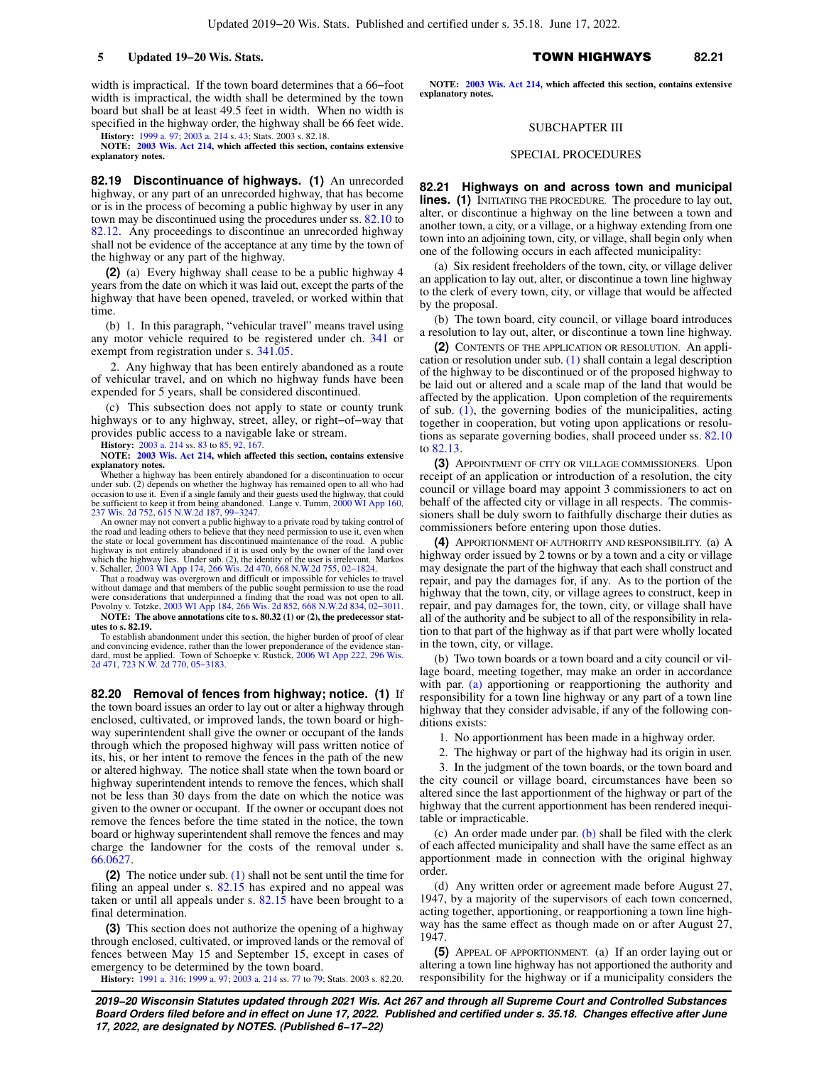width is impractical. If the town board determines that a 66−foot width is impractical, the width shall be determined by the town board but shall be at least 49.5 feet in width. When no width is specified in the highway order, the highway shall be 66 feet wide.

**History:** [1999 a. 97;](https://docs.legis.wisconsin.gov/document/acts/1999/97) [2003 a. 214](https://docs.legis.wisconsin.gov/document/acts/2003/214) s. [43;](https://docs.legis.wisconsin.gov/document/acts/2003/214,%20s.%2043) Stats. 2003 s. 82.18. **NOTE: [2003 Wis. Act 214](https://docs.legis.wisconsin.gov/document/acts/2003/214), which affected this section, contains extensive**

**explanatory notes.**

**82.19 Discontinuance of highways. (1)** An unrecorded highway, or any part of an unrecorded highway, that has become or is in the process of becoming a public highway by user in any town may be discontinued using the procedures under ss. [82.10](https://docs.legis.wisconsin.gov/document/statutes/82.10) to [82.12](https://docs.legis.wisconsin.gov/document/statutes/82.12). Any proceedings to discontinue an unrecorded highway shall not be evidence of the acceptance at any time by the town of the highway or any part of the highway.

**(2)** (a) Every highway shall cease to be a public highway 4 years from the date on which it was laid out, except the parts of the highway that have been opened, traveled, or worked within that time.

(b) 1. In this paragraph, "vehicular travel" means travel using any motor vehicle required to be registered under ch. [341](https://docs.legis.wisconsin.gov/document/statutes/ch.%20341) or exempt from registration under s. [341.05.](https://docs.legis.wisconsin.gov/document/statutes/341.05)

2. Any highway that has been entirely abandoned as a route of vehicular travel, and on which no highway funds have been expended for 5 years, shall be considered discontinued.

(c) This subsection does not apply to state or county trunk highways or to any highway, street, alley, or right−of−way that provides public access to a navigable lake or stream.

**History:** [2003 a. 214](https://docs.legis.wisconsin.gov/document/acts/2003/214) ss. [83](https://docs.legis.wisconsin.gov/document/acts/2003/214,%20s.%2083) to [85](https://docs.legis.wisconsin.gov/document/acts/2003/214,%20s.%2085), [92,](https://docs.legis.wisconsin.gov/document/acts/2003/214,%20s.%2092) [167.](https://docs.legis.wisconsin.gov/document/acts/2003/214,%20s.%20167)

**NOTE: [2003 Wis. Act 214](https://docs.legis.wisconsin.gov/document/acts/2003/214), which affected this section, contains extensive explanatory notes.**

Whether a highway has been entirely abandoned for a discontinuation to occur under sub. (2) depends on whether the highway has remained open to all who had occasion to use it. Even if a single family and their guests used the highway, that could be sufficient to keep it from being abandoned. Lange v. Tumm, [2000 WI App 160](https://docs.legis.wisconsin.gov/document/courts/2000%20WI%20App%20160), [237 Wis. 2d 752,](https://docs.legis.wisconsin.gov/document/courts/237%20Wis.%202d%20752) [615 N.W.2d 187,](https://docs.legis.wisconsin.gov/document/courts/615%20N.W.2d%20187) [99−3247.](https://docs.legis.wisconsin.gov/document/wicourtofappeals/99-3247)

An owner may not convert a public highway to a private road by taking control of the road and leading others to believe that they need permission to use it, the state or local government has discontinued maintenance of the road. A public highway is not entirely abandoned if it is used only by the owner of the land over<br>which the highway lies. Under sub. (2), the identity of the user is irrelevant. Markos<br>v. Schaller, [2003 WI App 174](https://docs.legis.wisconsin.gov/document/courts/2003%20WI%20App%20174), [266 Wis. 2d 470,](https://docs.legis.wisconsin.gov/document/courts/266%20Wis.%202d%20470) 668 N

That a roadway was overgrown and difficult or impossible for vehicles to travel without damage and that members of the public sought permission to use the road<br>were considerations that underpinned a finding that the road was not open to all.<br>Povolny v. Totzke, [2003 WI App 184](https://docs.legis.wisconsin.gov/document/courts/2003%20WI%20App%20184), [266 Wis. 2d 852](https://docs.legis.wisconsin.gov/document/courts/266%20Wis.%202d%20852), 668 N.W

**NOTE: The above annotations cite to s. 80.32 (1) or (2), the predecessor statutes to s. 82.19.**

To establish abandonment under this section, the higher burden of proof of clear and convincing evidence, rather than the lower preponderance of the evidence standard, must be applied. Town of Schoepke v. Rustick, [2006 WI App 222](https://docs.legis.wisconsin.gov/document/courts/2006%20WI%20App%20222), [296 Wis.](https://docs.legis.wisconsin.gov/document/courts/296%20Wis.%202d%20471) [2d 471](https://docs.legis.wisconsin.gov/document/courts/296%20Wis.%202d%20471), [723 N.W. 2d 770,](https://docs.legis.wisconsin.gov/document/courts/723%20N.W.%202d%20770) [05−3183.](https://docs.legis.wisconsin.gov/document/wicourtofappeals/05-3183)

**82.20 Removal of fences from highway; notice. (1)** If the town board issues an order to lay out or alter a highway through enclosed, cultivated, or improved lands, the town board or highway superintendent shall give the owner or occupant of the lands through which the proposed highway will pass written notice of its, his, or her intent to remove the fences in the path of the new or altered highway. The notice shall state when the town board or highway superintendent intends to remove the fences, which shall not be less than 30 days from the date on which the notice was given to the owner or occupant. If the owner or occupant does not remove the fences before the time stated in the notice, the town board or highway superintendent shall remove the fences and may charge the landowner for the costs of the removal under s. [66.0627](https://docs.legis.wisconsin.gov/document/statutes/66.0627).

**(2)** The notice under sub. [\(1\)](https://docs.legis.wisconsin.gov/document/statutes/82.20(1)) shall not be sent until the time for filing an appeal under s. [82.15](https://docs.legis.wisconsin.gov/document/statutes/82.15) has expired and no appeal was taken or until all appeals under s. [82.15](https://docs.legis.wisconsin.gov/document/statutes/82.15) have been brought to a final determination.

**(3)** This section does not authorize the opening of a highway through enclosed, cultivated, or improved lands or the removal of fences between May 15 and September 15, except in cases of emergency to be determined by the town board.

**History:** [1991 a. 316](https://docs.legis.wisconsin.gov/document/acts/1991/316); [1999 a. 97;](https://docs.legis.wisconsin.gov/document/acts/1999/97) [2003 a. 214](https://docs.legis.wisconsin.gov/document/acts/2003/214) ss. [77](https://docs.legis.wisconsin.gov/document/acts/2003/214,%20s.%2077) to [79;](https://docs.legis.wisconsin.gov/document/acts/2003/214,%20s.%2079) Stats. 2003 s. 82.20.

#### **5 Updated 19−20 Wis. Stats.** TOWN HIGHWAYS **82.21**

**NOTE: [2003 Wis. Act 214,](https://docs.legis.wisconsin.gov/document/acts/2003/214) which affected this section, contains extensive explanatory notes.**

#### SUBCHAPTER III

#### SPECIAL PROCEDURES

**82.21 Highways on and across town and municipal lines.** (1) INITIATING THE PROCEDURE. The procedure to lay out, alter, or discontinue a highway on the line between a town and another town, a city, or a village, or a highway extending from one town into an adjoining town, city, or village, shall begin only when one of the following occurs in each affected municipality:

(a) Six resident freeholders of the town, city, or village deliver an application to lay out, alter, or discontinue a town line highway to the clerk of every town, city, or village that would be affected by the proposal.

(b) The town board, city council, or village board introduces a resolution to lay out, alter, or discontinue a town line highway.

**(2)** CONTENTS OF THE APPLICATION OR RESOLUTION. An application or resolution under sub. [\(1\)](https://docs.legis.wisconsin.gov/document/statutes/82.21(1)) shall contain a legal description of the highway to be discontinued or of the proposed highway to be laid out or altered and a scale map of the land that would be affected by the application. Upon completion of the requirements of sub. [\(1\),](https://docs.legis.wisconsin.gov/document/statutes/82.21(1)) the governing bodies of the municipalities, acting together in cooperation, but voting upon applications or resolutions as separate governing bodies, shall proceed under ss. [82.10](https://docs.legis.wisconsin.gov/document/statutes/82.10) to [82.13.](https://docs.legis.wisconsin.gov/document/statutes/82.13)

**(3)** APPOINTMENT OF CITY OR VILLAGE COMMISSIONERS. Upon receipt of an application or introduction of a resolution, the city council or village board may appoint 3 commissioners to act on behalf of the affected city or village in all respects. The commissioners shall be duly sworn to faithfully discharge their duties as commissioners before entering upon those duties.

**(4)** APPORTIONMENT OF AUTHORITY AND RESPONSIBILITY. (a) A highway order issued by 2 towns or by a town and a city or village may designate the part of the highway that each shall construct and repair, and pay the damages for, if any. As to the portion of the highway that the town, city, or village agrees to construct, keep in repair, and pay damages for, the town, city, or village shall have all of the authority and be subject to all of the responsibility in relation to that part of the highway as if that part were wholly located in the town, city, or village.

(b) Two town boards or a town board and a city council or village board, meeting together, may make an order in accordance with par. [\(a\)](https://docs.legis.wisconsin.gov/document/statutes/82.21(4)(a)) apportioning or reapportioning the authority and responsibility for a town line highway or any part of a town line highway that they consider advisable, if any of the following conditions exists:

1. No apportionment has been made in a highway order.

2. The highway or part of the highway had its origin in user.

3. In the judgment of the town boards, or the town board and the city council or village board, circumstances have been so altered since the last apportionment of the highway or part of the highway that the current apportionment has been rendered inequitable or impracticable.

(c) An order made under par. [\(b\)](https://docs.legis.wisconsin.gov/document/statutes/82.21(4)(b)) shall be filed with the clerk of each affected municipality and shall have the same effect as an apportionment made in connection with the original highway order.

(d) Any written order or agreement made before August 27, 1947, by a majority of the supervisors of each town concerned, acting together, apportioning, or reapportioning a town line highway has the same effect as though made on or after August 27, 1947.

**(5)** APPEAL OF APPORTIONMENT. (a) If an order laying out or altering a town line highway has not apportioned the authority and responsibility for the highway or if a municipality considers the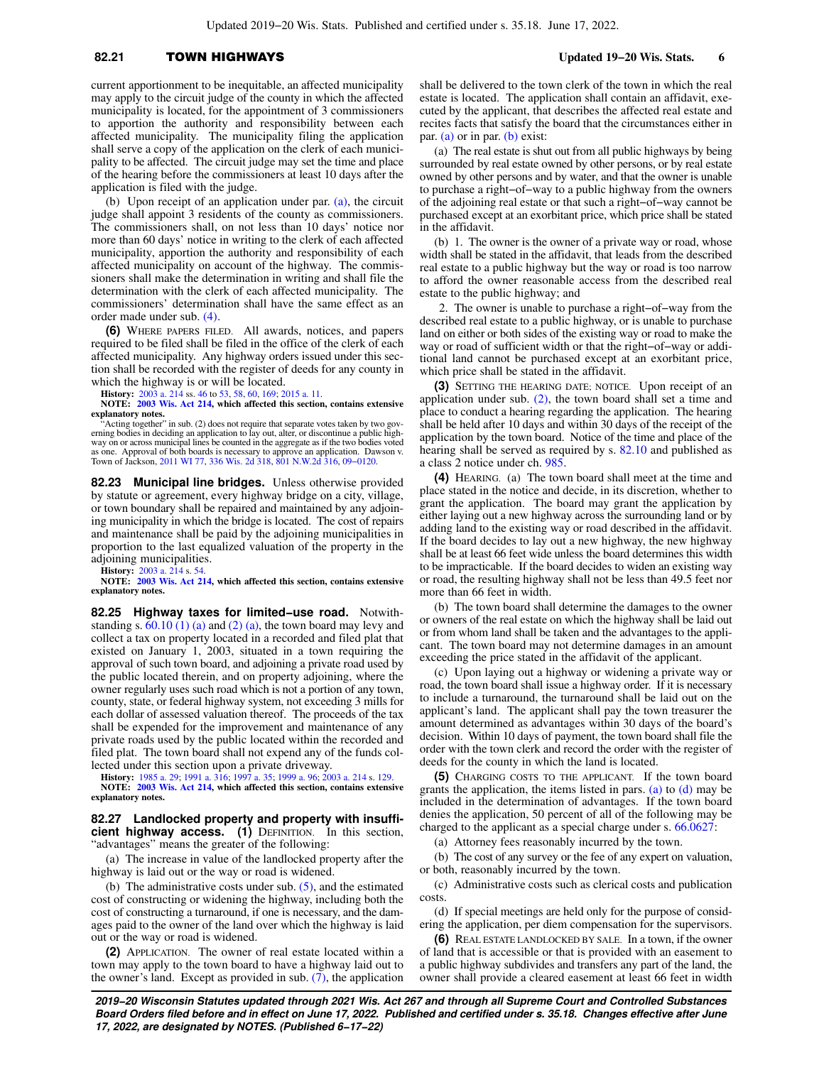## **82.21** TOWN HIGHWAYS **Updated 19−20 Wis. Stats. 6**

current apportionment to be inequitable, an affected municipality may apply to the circuit judge of the county in which the affected municipality is located, for the appointment of 3 commissioners to apportion the authority and responsibility between each affected municipality. The municipality filing the application shall serve a copy of the application on the clerk of each municipality to be affected. The circuit judge may set the time and place of the hearing before the commissioners at least 10 days after the application is filed with the judge.

(b) Upon receipt of an application under par. [\(a\)](https://docs.legis.wisconsin.gov/document/statutes/82.21(5)(a)), the circuit judge shall appoint 3 residents of the county as commissioners. The commissioners shall, on not less than 10 days' notice nor more than 60 days' notice in writing to the clerk of each affected municipality, apportion the authority and responsibility of each affected municipality on account of the highway. The commissioners shall make the determination in writing and shall file the determination with the clerk of each affected municipality. The commissioners' determination shall have the same effect as an order made under sub. [\(4\).](https://docs.legis.wisconsin.gov/document/statutes/82.21(4))

**(6)** WHERE PAPERS FILED. All awards, notices, and papers required to be filed shall be filed in the office of the clerk of each affected municipality. Any highway orders issued under this section shall be recorded with the register of deeds for any county in which the highway is or will be located.

**History:** [2003 a. 214](https://docs.legis.wisconsin.gov/document/acts/2003/214) ss. [46](https://docs.legis.wisconsin.gov/document/acts/2003/214,%20s.%2046) to [53](https://docs.legis.wisconsin.gov/document/acts/2003/214,%20s.%2053), [58,](https://docs.legis.wisconsin.gov/document/acts/2003/214,%20s.%2058) [60](https://docs.legis.wisconsin.gov/document/acts/2003/214,%20s.%2060), [169](https://docs.legis.wisconsin.gov/document/acts/2003/214,%20s.%20169); [2015 a. 11](https://docs.legis.wisconsin.gov/document/acts/2015/11).

**NOTE: [2003 Wis. Act 214](https://docs.legis.wisconsin.gov/document/acts/2003/214), which affected this section, contains extensive explanatory notes.**<br>
"Acting together" in sub. (2) does not require that separate votes taken by two gov-

erning bodies in deciding an application to lay out, alter, or discontinue a public high-way on or across municipal lines be counted in the aggregate as if the two bodies voted as one. Approval of both boards is necessary to approve an application. Dawson v. Town of Jackson, [2011 WI 77,](https://docs.legis.wisconsin.gov/document/courts/2011%20WI%2077) [336 Wis. 2d 318](https://docs.legis.wisconsin.gov/document/courts/336%20Wis.%202d%20318), [801 N.W.2d 316](https://docs.legis.wisconsin.gov/document/courts/801%20N.W.2d%20316), [09−0120](https://docs.legis.wisconsin.gov/document/wisupremecourt/09-0120).

**82.23 Municipal line bridges.** Unless otherwise provided by statute or agreement, every highway bridge on a city, village, or town boundary shall be repaired and maintained by any adjoining municipality in which the bridge is located. The cost of repairs and maintenance shall be paid by the adjoining municipalities in proportion to the last equalized valuation of the property in the adjoining municipalities.

**History:** [2003 a. 214](https://docs.legis.wisconsin.gov/document/acts/2003/214) s. [54](https://docs.legis.wisconsin.gov/document/acts/2003/214,%20s.%2054). **NOTE: [2003 Wis. Act 214](https://docs.legis.wisconsin.gov/document/acts/2003/214), which affected this section, contains extensive explanatory notes.**

**82.25 Highway taxes for limited−use road.** Notwithstanding s.  $60.10(1)(a)$  and  $(2)(a)$ , the town board may levy and collect a tax on property located in a recorded and filed plat that existed on January 1, 2003, situated in a town requiring the approval of such town board, and adjoining a private road used by the public located therein, and on property adjoining, where the owner regularly uses such road which is not a portion of any town, county, state, or federal highway system, not exceeding 3 mills for each dollar of assessed valuation thereof. The proceeds of the tax shall be expended for the improvement and maintenance of any private roads used by the public located within the recorded and filed plat. The town board shall not expend any of the funds collected under this section upon a private driveway.

**History:** [1985 a. 29;](https://docs.legis.wisconsin.gov/document/acts/1985/29) [1991 a. 316;](https://docs.legis.wisconsin.gov/document/acts/1991/316) [1997 a. 35;](https://docs.legis.wisconsin.gov/document/acts/1997/35) [1999 a. 96;](https://docs.legis.wisconsin.gov/document/acts/1999/96) [2003 a. 214](https://docs.legis.wisconsin.gov/document/acts/2003/214) s. [129](https://docs.legis.wisconsin.gov/document/acts/2003/214,%20s.%20129).

**NOTE: [2003 Wis. Act 214](https://docs.legis.wisconsin.gov/document/acts/2003/214), which affected this section, contains extensive explanatory notes.**

**82.27 Landlocked property and property with insufficient highway access. (1)** DEFINITION. In this section, "advantages" means the greater of the following:

(a) The increase in value of the landlocked property after the highway is laid out or the way or road is widened.

(b) The administrative costs under sub.  $(5)$ , and the estimated cost of constructing or widening the highway, including both the cost of constructing a turnaround, if one is necessary, and the damages paid to the owner of the land over which the highway is laid out or the way or road is widened.

**(2)** APPLICATION. The owner of real estate located within a town may apply to the town board to have a highway laid out to the owner's land. Except as provided in sub.  $(7)$ , the application

shall be delivered to the town clerk of the town in which the real estate is located. The application shall contain an affidavit, executed by the applicant, that describes the affected real estate and recites facts that satisfy the board that the circumstances either in par. [\(a\)](https://docs.legis.wisconsin.gov/document/statutes/82.27(2)(a)) or in par. [\(b\)](https://docs.legis.wisconsin.gov/document/statutes/82.27(2)(b)) exist:

(a) The real estate is shut out from all public highways by being surrounded by real estate owned by other persons, or by real estate owned by other persons and by water, and that the owner is unable to purchase a right−of−way to a public highway from the owners of the adjoining real estate or that such a right−of−way cannot be purchased except at an exorbitant price, which price shall be stated in the affidavit.

(b) 1. The owner is the owner of a private way or road, whose width shall be stated in the affidavit, that leads from the described real estate to a public highway but the way or road is too narrow to afford the owner reasonable access from the described real estate to the public highway; and

2. The owner is unable to purchase a right−of−way from the described real estate to a public highway, or is unable to purchase land on either or both sides of the existing way or road to make the way or road of sufficient width or that the right−of−way or additional land cannot be purchased except at an exorbitant price, which price shall be stated in the affidavit.

**(3)** SETTING THE HEARING DATE; NOTICE. Upon receipt of an application under sub.  $(2)$ , the town board shall set a time and place to conduct a hearing regarding the application. The hearing shall be held after 10 days and within 30 days of the receipt of the application by the town board. Notice of the time and place of the hearing shall be served as required by s. [82.10](https://docs.legis.wisconsin.gov/document/statutes/82.10) and published as a class 2 notice under ch. [985.](https://docs.legis.wisconsin.gov/document/statutes/ch.%20985)

**(4)** HEARING. (a) The town board shall meet at the time and place stated in the notice and decide, in its discretion, whether to grant the application. The board may grant the application by either laying out a new highway across the surrounding land or by adding land to the existing way or road described in the affidavit. If the board decides to lay out a new highway, the new highway shall be at least 66 feet wide unless the board determines this width to be impracticable. If the board decides to widen an existing way or road, the resulting highway shall not be less than 49.5 feet nor more than 66 feet in width.

(b) The town board shall determine the damages to the owner or owners of the real estate on which the highway shall be laid out or from whom land shall be taken and the advantages to the applicant. The town board may not determine damages in an amount exceeding the price stated in the affidavit of the applicant.

(c) Upon laying out a highway or widening a private way or road, the town board shall issue a highway order. If it is necessary to include a turnaround, the turnaround shall be laid out on the applicant's land. The applicant shall pay the town treasurer the amount determined as advantages within 30 days of the board's decision. Within 10 days of payment, the town board shall file the order with the town clerk and record the order with the register of deeds for the county in which the land is located.

**(5)** CHARGING COSTS TO THE APPLICANT. If the town board grants the application, the items listed in pars. [\(a\)](https://docs.legis.wisconsin.gov/document/statutes/82.27(5)(a)) to [\(d\)](https://docs.legis.wisconsin.gov/document/statutes/82.27(5)(d)) may be included in the determination of advantages. If the town board denies the application, 50 percent of all of the following may be charged to the applicant as a special charge under s. [66.0627:](https://docs.legis.wisconsin.gov/document/statutes/66.0627)

(a) Attorney fees reasonably incurred by the town.

(b) The cost of any survey or the fee of any expert on valuation, or both, reasonably incurred by the town.

(c) Administrative costs such as clerical costs and publication costs.

(d) If special meetings are held only for the purpose of considering the application, per diem compensation for the supervisors.

**(6)** REAL ESTATE LANDLOCKED BY SALE. In a town, if the owner of land that is accessible or that is provided with an easement to a public highway subdivides and transfers any part of the land, the owner shall provide a cleared easement at least 66 feet in width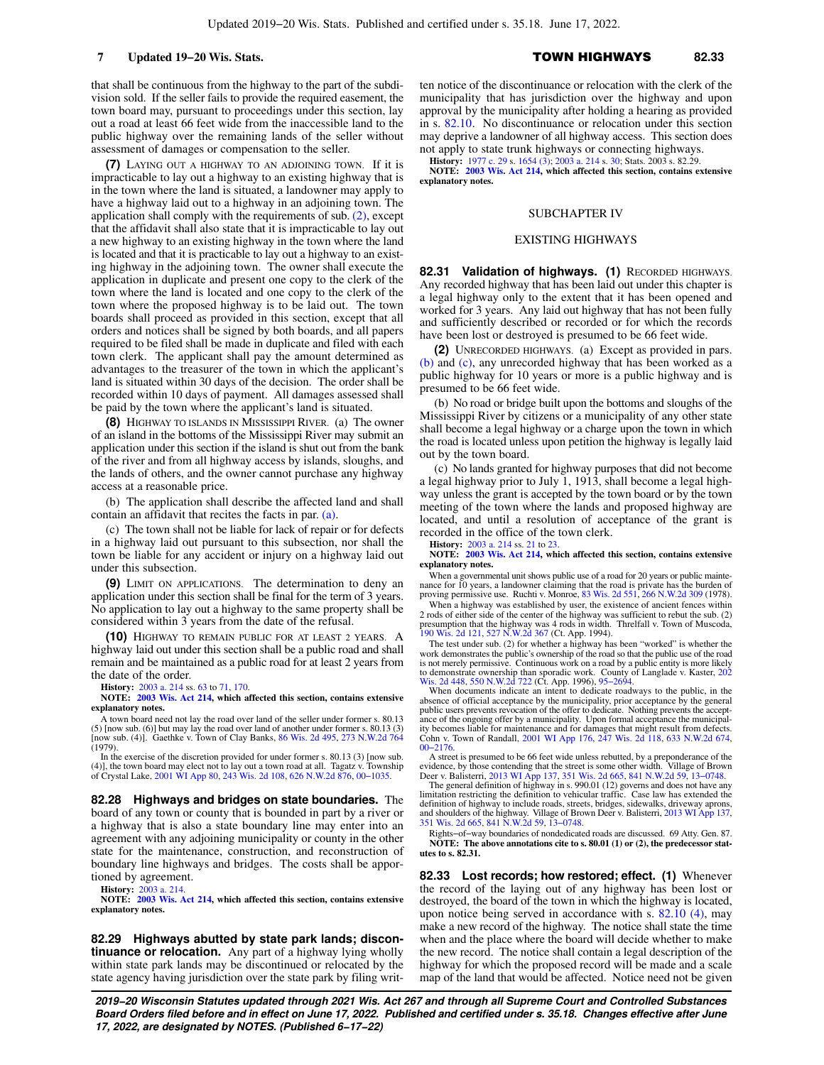that shall be continuous from the highway to the part of the subdivision sold. If the seller fails to provide the required easement, the town board may, pursuant to proceedings under this section, lay out a road at least 66 feet wide from the inaccessible land to the public highway over the remaining lands of the seller without assessment of damages or compensation to the seller.

**(7)** LAYING OUT A HIGHWAY TO AN ADJOINING TOWN. If it is impracticable to lay out a highway to an existing highway that is in the town where the land is situated, a landowner may apply to have a highway laid out to a highway in an adjoining town. The application shall comply with the requirements of sub. [\(2\),](https://docs.legis.wisconsin.gov/document/statutes/82.27(2)) except that the affidavit shall also state that it is impracticable to lay out a new highway to an existing highway in the town where the land is located and that it is practicable to lay out a highway to an existing highway in the adjoining town. The owner shall execute the application in duplicate and present one copy to the clerk of the town where the land is located and one copy to the clerk of the town where the proposed highway is to be laid out. The town boards shall proceed as provided in this section, except that all orders and notices shall be signed by both boards, and all papers required to be filed shall be made in duplicate and filed with each town clerk. The applicant shall pay the amount determined as advantages to the treasurer of the town in which the applicant's land is situated within 30 days of the decision. The order shall be recorded within 10 days of payment. All damages assessed shall be paid by the town where the applicant's land is situated.

**(8)** HIGHWAY TO ISLANDS IN MISSISSIPPI RIVER. (a) The owner of an island in the bottoms of the Mississippi River may submit an application under this section if the island is shut out from the bank of the river and from all highway access by islands, sloughs, and the lands of others, and the owner cannot purchase any highway access at a reasonable price.

(b) The application shall describe the affected land and shall contain an affidavit that recites the facts in par. [\(a\)](https://docs.legis.wisconsin.gov/document/statutes/82.27(8)(a)).

(c) The town shall not be liable for lack of repair or for defects in a highway laid out pursuant to this subsection, nor shall the town be liable for any accident or injury on a highway laid out under this subsection.

**(9)** LIMIT ON APPLICATIONS. The determination to deny an application under this section shall be final for the term of 3 years. No application to lay out a highway to the same property shall be considered within 3 years from the date of the refusal.

**(10)** HIGHWAY TO REMAIN PUBLIC FOR AT LEAST 2 YEARS. A highway laid out under this section shall be a public road and shall remain and be maintained as a public road for at least 2 years from the date of the order.

**History:** [2003 a. 214](https://docs.legis.wisconsin.gov/document/acts/2003/214) ss. [63](https://docs.legis.wisconsin.gov/document/acts/2003/214,%20s.%2063) to [71](https://docs.legis.wisconsin.gov/document/acts/2003/214,%20s.%2071), [170](https://docs.legis.wisconsin.gov/document/acts/2003/214,%20s.%20170).

**NOTE: [2003 Wis. Act 214](https://docs.legis.wisconsin.gov/document/acts/2003/214), which affected this section, contains extensive explanatory notes.**

A town board need not lay the road over land of the seller under former s. 80.13 (5) [now sub. (6)] but may lay the road over land of another under former s.  $80.13$  (3) [now sub. (4)]. Gaethke v. Town of Clay Banks,  $86$  Wis.  $2d$  495,  $273$  N.W. $2d$  764 (1979).

In the exercise of the discretion provided for under former s. 80.13 (3) [now sub. (4)], the town board may elect not to lay out a town road at all. Tagatz v. Township of Crystal Lake, [2001 WI App 80](https://docs.legis.wisconsin.gov/document/courts/2001%20WI%20App%2080), [243 Wis. 2d 108,](https://docs.legis.wisconsin.gov/document/courts/243%20Wis.%202d%20108) 626

**82.28 Highways and bridges on state boundaries.** The board of any town or county that is bounded in part by a river or a highway that is also a state boundary line may enter into an agreement with any adjoining municipality or county in the other state for the maintenance, construction, and reconstruction of boundary line highways and bridges. The costs shall be apportioned by agreement.

**History:** [2003 a. 214](https://docs.legis.wisconsin.gov/document/acts/2003/214). **NOTE: [2003 Wis. Act 214](https://docs.legis.wisconsin.gov/document/acts/2003/214), which affected this section, contains extensive explanatory notes.**

**82.29 Highways abutted by state park lands; discontinuance or relocation.** Any part of a highway lying wholly within state park lands may be discontinued or relocated by the state agency having jurisdiction over the state park by filing written notice of the discontinuance or relocation with the clerk of the municipality that has jurisdiction over the highway and upon approval by the municipality after holding a hearing as provided in s. [82.10.](https://docs.legis.wisconsin.gov/document/statutes/82.10) No discontinuance or relocation under this section may deprive a landowner of all highway access. This section does not apply to state trunk highways or connecting highways.

**History:** [1977 c. 29](https://docs.legis.wisconsin.gov/document/acts/1977/29) s. [1654 \(3\)](https://docs.legis.wisconsin.gov/document/acts/1977/29,%20s.%201654); [2003 a. 214](https://docs.legis.wisconsin.gov/document/acts/2003/214) s. [30;](https://docs.legis.wisconsin.gov/document/acts/2003/214,%20s.%2030) Stats. 2003 s. 82.29.

**NOTE: [2003 Wis. Act 214,](https://docs.legis.wisconsin.gov/document/acts/2003/214) which affected this section, contains extensive explanatory notes.**

### SUBCHAPTER IV

#### EXISTING HIGHWAYS

82.31 Validation of highways. (1) RECORDED HIGHWAYS. Any recorded highway that has been laid out under this chapter is a legal highway only to the extent that it has been opened and worked for 3 years. Any laid out highway that has not been fully and sufficiently described or recorded or for which the records have been lost or destroyed is presumed to be 66 feet wide.

**(2)** UNRECORDED HIGHWAYS. (a) Except as provided in pars. [\(b\)](https://docs.legis.wisconsin.gov/document/statutes/82.31(2)(b)) and [\(c\)](https://docs.legis.wisconsin.gov/document/statutes/82.31(2)(c)), any unrecorded highway that has been worked as a public highway for 10 years or more is a public highway and is presumed to be 66 feet wide.

(b) No road or bridge built upon the bottoms and sloughs of the Mississippi River by citizens or a municipality of any other state shall become a legal highway or a charge upon the town in which the road is located unless upon petition the highway is legally laid out by the town board.

(c) No lands granted for highway purposes that did not become a legal highway prior to July 1, 1913, shall become a legal highway unless the grant is accepted by the town board or by the town meeting of the town where the lands and proposed highway are located, and until a resolution of acceptance of the grant is recorded in the office of the town clerk.

**History:** [2003 a. 214](https://docs.legis.wisconsin.gov/document/acts/2003/214) ss. [21](https://docs.legis.wisconsin.gov/document/acts/2003/214,%20s.%2021) to [23](https://docs.legis.wisconsin.gov/document/acts/2003/214,%20s.%2023).

**NOTE: [2003 Wis. Act 214,](https://docs.legis.wisconsin.gov/document/acts/2003/214) which affected this section, contains extensive explanatory notes.**

When a governmental unit shows public use of a road for 20 years or public mainte-<br>nance for 10 years, a landowner claiming that the road is private has the burden of proving permissive use. Ruchti v. Monroe, [83 Wis. 2d 551,](https://docs.legis.wisconsin.gov/document/courts/83%20Wis.%202d%20551) [266 N.W.2d 309](https://docs.legis.wisconsin.gov/document/courts/266%20N.W.2d%20309) (1978).

When a highway was established by user, the existence of ancient fences within 2 rods of either side of the center of the highway was sufficient to rebut the sub. (2) presumption that the highway was 4 rods in width. Threlfall v. Town of Muscoda, [190 Wis. 2d 121](https://docs.legis.wisconsin.gov/document/courts/190%20Wis.%202d%20121), [527 N.W.2d 367](https://docs.legis.wisconsin.gov/document/courts/527%20N.W.2d%20367) (Ct. App. 1994).

The test under sub. (2) for whether a highway has been "worked" is whether the work demonstrates the public's ownership of the road so that the public use of the road is not merely permissive. Continuous work on a road by a public entity is more likely to demonstrate ownership than sporadic work. County of Langlade v. Kaster, [202](https://docs.legis.wisconsin.gov/document/courts/202%20Wis.%202d%20448) [Wis. 2d 448,](https://docs.legis.wisconsin.gov/document/courts/202%20Wis.%202d%20448) [550 N.W.2d 722](https://docs.legis.wisconsin.gov/document/courts/550%20N.W.2d%20722) (Ct. App. 1996), [95−2694.](https://docs.legis.wisconsin.gov/document/wicourtofappeals/95-2694)

When documents indicate an intent to dedicate roadways to the public, in the absence of official acceptance by the municipality, prior acceptance by the general public users prevents revocation of the offer to dedicate. Nothing prevents the acceptance of the ongoing offer by a municipality. Upon formal acceptance the municipality becomes liable for maintenance and for damages that might result from defects. Cohn v. Town of Randall, [2001 WI App 176](https://docs.legis.wisconsin.gov/document/courts/2001%20WI%20App%20176), [247 Wis. 2d 118,](https://docs.legis.wisconsin.gov/document/courts/247%20Wis.%202d%20118) [633 N.W.2d 674](https://docs.legis.wisconsin.gov/document/courts/633%20N.W.2d%20674), [00−2176.](https://docs.legis.wisconsin.gov/document/wicourtofappeals/00-2176)

A street is presumed to be 66 feet wide unless rebutted, by a preponderance of the evidence, by those contending that the street is some other width. Village of Brown Deer v. Balisterri, [2013 WI App 137](https://docs.legis.wisconsin.gov/document/courts/2013%20WI%20App%20137), [351 Wis. 2d 665,](https://docs.legis.wisconsin.gov/document/courts/351%20Wis.%202d%20665)

definition of highway to include roads, streets, bridges, sidewalks, driveway aprons, and shoulders of the highway. Village of Brown Deer v. Balisterri, [2013 WI App 137](https://docs.legis.wisconsin.gov/document/courts/2013%20WI%20App%20137), [351 Wis. 2d 665](https://docs.legis.wisconsin.gov/document/courts/351%20Wis.%202d%20665), [841 N.W.2d 59](https://docs.legis.wisconsin.gov/document/courts/841%20N.W.2d%2059), [13−0748](https://docs.legis.wisconsin.gov/document/wicourtofappeals/13-0748).

Rights−of−way boundaries of nondedicated roads are discussed. 69 Atty. Gen. 87. **NOTE: The above annotations cite to s. 80.01 (1) or (2), the predecessor statutes to s. 82.31.**

**82.33 Lost records; how restored; effect. (1)** Whenever the record of the laying out of any highway has been lost or destroyed, the board of the town in which the highway is located, upon notice being served in accordance with s. [82.10 \(4\)](https://docs.legis.wisconsin.gov/document/statutes/82.10(4)), may make a new record of the highway. The notice shall state the time when and the place where the board will decide whether to make the new record. The notice shall contain a legal description of the highway for which the proposed record will be made and a scale map of the land that would be affected. Notice need not be given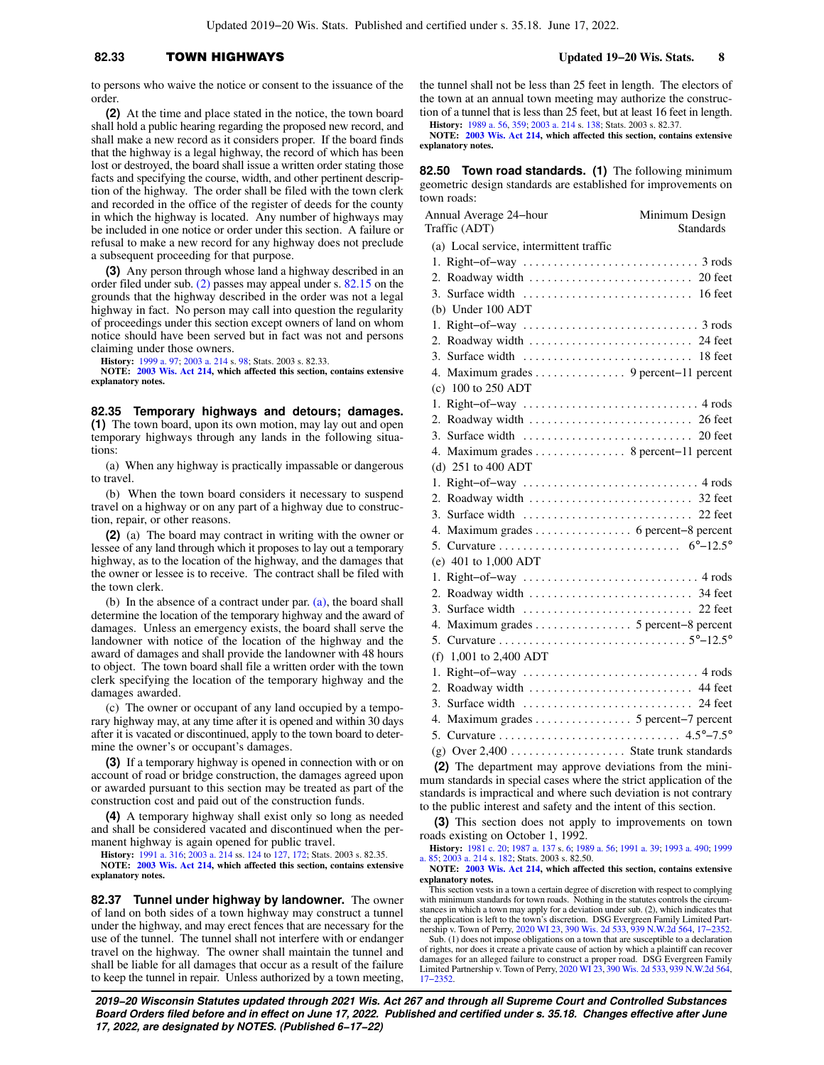### **82.33** TOWN HIGHWAYS **Updated 19−20 Wis. Stats. 8**

**(2)** At the time and place stated in the notice, the town board shall hold a public hearing regarding the proposed new record, and shall make a new record as it considers proper. If the board finds that the highway is a legal highway, the record of which has been lost or destroyed, the board shall issue a written order stating those facts and specifying the course, width, and other pertinent description of the highway. The order shall be filed with the town clerk and recorded in the office of the register of deeds for the county in which the highway is located. Any number of highways may be included in one notice or order under this section. A failure or refusal to make a new record for any highway does not preclude a subsequent proceeding for that purpose.

**(3)** Any person through whose land a highway described in an order filed under sub. [\(2\)](https://docs.legis.wisconsin.gov/document/statutes/82.33(2)) passes may appeal under s. [82.15](https://docs.legis.wisconsin.gov/document/statutes/82.15) on the grounds that the highway described in the order was not a legal highway in fact. No person may call into question the regularity of proceedings under this section except owners of land on whom notice should have been served but in fact was not and persons claiming under those owners.

**History:** [1999 a. 97;](https://docs.legis.wisconsin.gov/document/acts/1999/97) [2003 a. 214](https://docs.legis.wisconsin.gov/document/acts/2003/214) s. [98;](https://docs.legis.wisconsin.gov/document/acts/2003/214,%20s.%2098) Stats. 2003 s. 82.33.

**NOTE: [2003 Wis. Act 214](https://docs.legis.wisconsin.gov/document/acts/2003/214), which affected this section, contains extensive explanatory notes.**

**82.35 Temporary highways and detours; damages. (1)** The town board, upon its own motion, may lay out and open temporary highways through any lands in the following situations:

(a) When any highway is practically impassable or dangerous to travel.

(b) When the town board considers it necessary to suspend travel on a highway or on any part of a highway due to construction, repair, or other reasons.

**(2)** (a) The board may contract in writing with the owner or lessee of any land through which it proposes to lay out a temporary highway, as to the location of the highway, and the damages that the owner or lessee is to receive. The contract shall be filed with the town clerk.

(b) In the absence of a contract under par. [\(a\),](https://docs.legis.wisconsin.gov/document/statutes/82.35(2)(a)) the board shall determine the location of the temporary highway and the award of damages. Unless an emergency exists, the board shall serve the landowner with notice of the location of the highway and the award of damages and shall provide the landowner with 48 hours to object. The town board shall file a written order with the town clerk specifying the location of the temporary highway and the damages awarded.

(c) The owner or occupant of any land occupied by a temporary highway may, at any time after it is opened and within 30 days after it is vacated or discontinued, apply to the town board to determine the owner's or occupant's damages.

**(3)** If a temporary highway is opened in connection with or on account of road or bridge construction, the damages agreed upon or awarded pursuant to this section may be treated as part of the construction cost and paid out of the construction funds.

**(4)** A temporary highway shall exist only so long as needed and shall be considered vacated and discontinued when the permanent highway is again opened for public travel.

**History:** [1991 a. 316](https://docs.legis.wisconsin.gov/document/acts/1991/316); [2003 a. 214](https://docs.legis.wisconsin.gov/document/acts/2003/214) ss. [124](https://docs.legis.wisconsin.gov/document/acts/2003/214,%20s.%20124) to [127,](https://docs.legis.wisconsin.gov/document/acts/2003/214,%20s.%20127) [172;](https://docs.legis.wisconsin.gov/document/acts/2003/214,%20s.%20172) Stats. 2003 s. 82.35. **NOTE: [2003 Wis. Act 214](https://docs.legis.wisconsin.gov/document/acts/2003/214), which affected this section, contains extensive explanatory notes.**

**82.37 Tunnel under highway by landowner.** The owner of land on both sides of a town highway may construct a tunnel under the highway, and may erect fences that are necessary for the use of the tunnel. The tunnel shall not interfere with or endanger travel on the highway. The owner shall maintain the tunnel and shall be liable for all damages that occur as a result of the failure to keep the tunnel in repair. Unless authorized by a town meeting,

the tunnel shall not be less than 25 feet in length. The electors of the town at an annual town meeting may authorize the construction of a tunnel that is less than 25 feet, but at least 16 feet in length.

**History:** [1989 a. 56](https://docs.legis.wisconsin.gov/document/acts/1989/56), [359](https://docs.legis.wisconsin.gov/document/acts/1989/359); [2003 a. 214](https://docs.legis.wisconsin.gov/document/acts/2003/214) s. [138](https://docs.legis.wisconsin.gov/document/acts/2003/214,%20s.%20138); Stats. 2003 s. 82.37.

**NOTE: [2003 Wis. Act 214,](https://docs.legis.wisconsin.gov/document/acts/2003/214) which affected this section, contains extensive explanatory notes.**

**82.50 Town road standards. (1)** The following minimum geometric design standards are established for improvements on town roads:

| Annual Average 24-hour<br>Traffic (ADT)                                                 | Minimum Design<br><b>Standards</b> |
|-----------------------------------------------------------------------------------------|------------------------------------|
| (a) Local service, intermittent traffic                                                 |                                    |
|                                                                                         |                                    |
|                                                                                         |                                    |
|                                                                                         |                                    |
| (b) Under $100$ ADT                                                                     |                                    |
|                                                                                         |                                    |
|                                                                                         |                                    |
|                                                                                         |                                    |
| 4. Maximum grades 9 percent-11 percent                                                  |                                    |
| (c) $100$ to $250$ ADT                                                                  |                                    |
|                                                                                         |                                    |
|                                                                                         |                                    |
|                                                                                         |                                    |
| 4. Maximum grades 8 percent-11 percent                                                  |                                    |
| (d) 251 to 400 ADT                                                                      |                                    |
| 1. Right-of-way $\ldots \ldots \ldots \ldots \ldots \ldots \ldots \ldots \ldots$ 4 rods |                                    |
|                                                                                         |                                    |
|                                                                                         |                                    |
| 4. Maximum grades 6 percent-8 percent                                                   |                                    |
|                                                                                         |                                    |
| (e) 401 to 1,000 ADT                                                                    |                                    |
|                                                                                         |                                    |
|                                                                                         |                                    |
|                                                                                         |                                    |
| 4. Maximum grades 5 percent-8 percent                                                   |                                    |
|                                                                                         |                                    |
| (f) $1,001$ to 2,400 ADT                                                                |                                    |
|                                                                                         |                                    |
| 2. Roadway width  44 feet                                                               |                                    |
|                                                                                         |                                    |
| 4. Maximum grades 5 percent-7 percent                                                   |                                    |
|                                                                                         |                                    |
| (g) Over $2,400$ State trunk standards                                                  |                                    |
| (2) The department may approve deviations from the mini-                                |                                    |

tment may approve deviations. mum standards in special cases where the strict application of the standards is impractical and where such deviation is not contrary to the public interest and safety and the intent of this section.

**(3)** This section does not apply to improvements on town roads existing on October 1, 1992.

**History:** [1981 c. 20;](https://docs.legis.wisconsin.gov/document/acts/1981/20) [1987 a. 137](https://docs.legis.wisconsin.gov/document/acts/1987/137) s. [6](https://docs.legis.wisconsin.gov/document/acts/1987/137,%20s.%206); [1989 a. 56](https://docs.legis.wisconsin.gov/document/acts/1989/56); [1991 a. 39](https://docs.legis.wisconsin.gov/document/acts/1991/39); [1993 a. 490;](https://docs.legis.wisconsin.gov/document/acts/1993/490) [1999](https://docs.legis.wisconsin.gov/document/acts/1999/85) [a. 85;](https://docs.legis.wisconsin.gov/document/acts/1999/85) [2003 a. 214](https://docs.legis.wisconsin.gov/document/acts/2003/214) s. [182;](https://docs.legis.wisconsin.gov/document/acts/2003/214,%20s.%20182) Stats. 2003 s. 82.50.

**NOTE: [2003 Wis. Act 214,](https://docs.legis.wisconsin.gov/document/acts/2003/214) which affected this section, contains extensive explanatory notes.**

This section vests in a town a certain degree of discretion with respect to complying with minimum standards for town roads. Nothing in the statutes controls the circumstances in which a town may apply for a deviation under sub. (2), which indicates that the application is left to the town's discretion. DSG Evergreen Family Limited Partnership v. Town of Perry, [2020 WI 23,](https://docs.legis.wisconsin.gov/document/courts/2020%20WI%2023) [390 Wis. 2d 533,](https://docs.legis.wisconsin.gov/document/courts/390%20Wis.%202d%20533) [939 N.W.2d 564,](https://docs.legis.wisconsin.gov/document/courts/939%20N.W.2d%20564) [17−2352](https://docs.legis.wisconsin.gov/document/wisupremecourt/17-2352).

Sub. (1) does not impose obligations on a town that are susceptible to a declaration of rights, nor does it create a private cause of action by which a plaintiff can recover damages for an alleged failure to construct a proper road. DSG Evergreen Family<br>Limited Partnership v. Town of Perry, [2020 WI 23,](https://docs.legis.wisconsin.gov/document/courts/2020%20WI%2023) [390 Wis. 2d 533,](https://docs.legis.wisconsin.gov/document/courts/390%20Wis.%202d%20533) [939 N.W.2d 564](https://docs.legis.wisconsin.gov/document/courts/939%20N.W.2d%20564), [17−2352.](https://docs.legis.wisconsin.gov/document/wisupremecourt/17-2352)